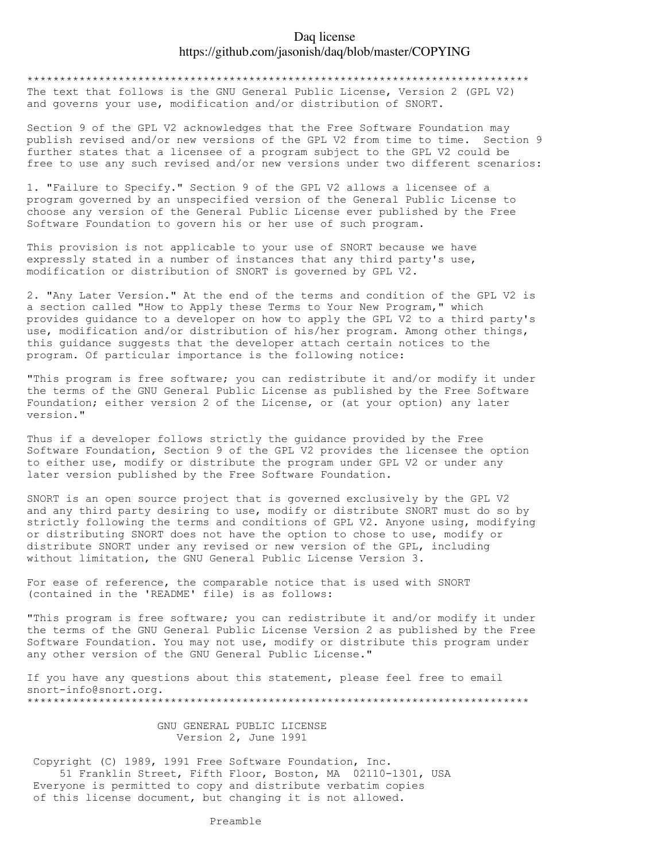## Daq license https://github.com/jasonish/daq/blob/master/COPYING

\*\*\*\*\*\*\*\*\*\*\*\*\*\*\*\*\*\*\*\*\*\*\*\*\*\*\*\*\*\*\*\*\*\*\*\*\*\*\*\*\*\*\*\*\*\*\*\*\*\*\*\*\*\*\*\*\*\*\*\*\*\*\*\*\*\*\*\*\*\*\*\*\*\*\*\*\*

The text that follows is the GNU General Public License, Version 2 (GPL V2) and governs your use, modification and/or distribution of SNORT.

Section 9 of the GPL V2 acknowledges that the Free Software Foundation may publish revised and/or new versions of the GPL V2 from time to time. Section 9 further states that a licensee of a program subject to the GPL V2 could be free to use any such revised and/or new versions under two different scenarios:

1. "Failure to Specify." Section 9 of the GPL V2 allows a licensee of a program governed by an unspecified version of the General Public License to choose any version of the General Public License ever published by the Free Software Foundation to govern his or her use of such program.

This provision is not applicable to your use of SNORT because we have expressly stated in a number of instances that any third party's use, modification or distribution of SNORT is governed by GPL V2.

2. "Any Later Version." At the end of the terms and condition of the GPL V2 is a section called "How to Apply these Terms to Your New Program," which provides guidance to a developer on how to apply the GPL V2 to a third party's use, modification and/or distribution of his/her program. Among other things, this guidance suggests that the developer attach certain notices to the program. Of particular importance is the following notice:

"This program is free software; you can redistribute it and/or modify it under the terms of the GNU General Public License as published by the Free Software Foundation; either version 2 of the License, or (at your option) any later version."

Thus if a developer follows strictly the guidance provided by the Free Software Foundation, Section 9 of the GPL V2 provides the licensee the option to either use, modify or distribute the program under GPL V2 or under any later version published by the Free Software Foundation.

SNORT is an open source project that is governed exclusively by the GPL V2 and any third party desiring to use, modify or distribute SNORT must do so by strictly following the terms and conditions of GPL V2. Anyone using, modifying or distributing SNORT does not have the option to chose to use, modify or distribute SNORT under any revised or new version of the GPL, including without limitation, the GNU General Public License Version 3.

For ease of reference, the comparable notice that is used with SNORT (contained in the 'README' file) is as follows:

"This program is free software; you can redistribute it and/or modify it under the terms of the GNU General Public License Version 2 as published by the Free Software Foundation. You may not use, modify or distribute this program under any other version of the GNU General Public License."

If you have any questions about this statement, please feel free to email snort-info@snort.org. \*\*\*\*\*\*\*\*\*\*\*\*\*\*\*\*\*\*\*\*\*\*\*\*\*\*\*\*\*\*\*\*\*\*\*\*\*\*\*\*\*\*\*\*\*\*\*\*\*\*\*\*\*\*\*\*\*\*\*\*\*\*\*\*\*\*\*\*\*\*\*\*\*\*\*\*\*

> GNU GENERAL PUBLIC LICENSE Version 2, June 1991

Copyright (C) 1989, 1991 Free Software Foundation, Inc. 51 Franklin Street, Fifth Floor, Boston, MA 02110-1301, USA Everyone is permitted to copy and distribute verbatim copies of this license document, but changing it is not allowed.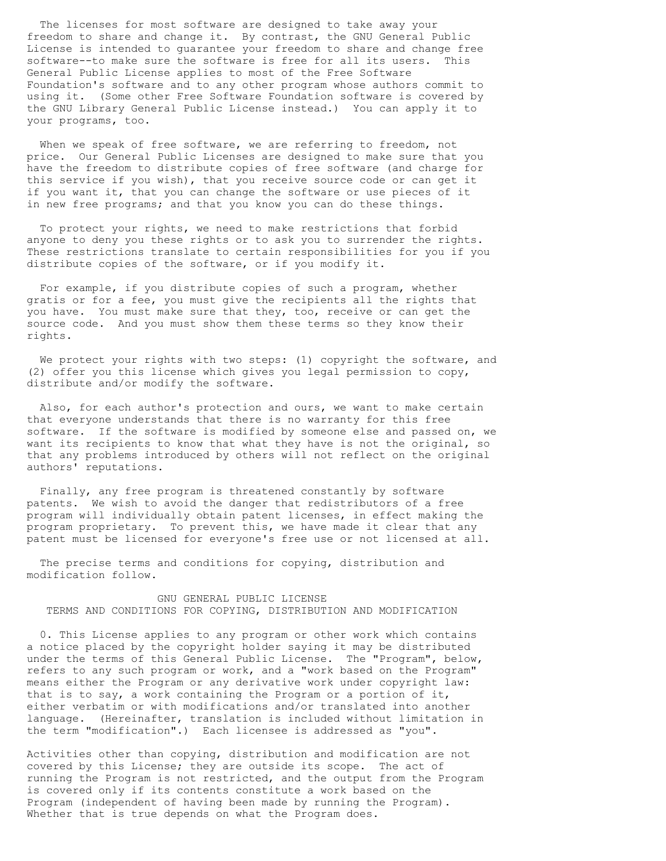The licenses for most software are designed to take away your freedom to share and change it. By contrast, the GNU General Public License is intended to guarantee your freedom to share and change free software--to make sure the software is free for all its users. This General Public License applies to most of the Free Software Foundation's software and to any other program whose authors commit to using it. (Some other Free Software Foundation software is covered by the GNU Library General Public License instead.) You can apply it to your programs, too.

 When we speak of free software, we are referring to freedom, not price. Our General Public Licenses are designed to make sure that you have the freedom to distribute copies of free software (and charge for this service if you wish), that you receive source code or can get it if you want it, that you can change the software or use pieces of it in new free programs; and that you know you can do these things.

 To protect your rights, we need to make restrictions that forbid anyone to deny you these rights or to ask you to surrender the rights. These restrictions translate to certain responsibilities for you if you distribute copies of the software, or if you modify it.

 For example, if you distribute copies of such a program, whether gratis or for a fee, you must give the recipients all the rights that you have. You must make sure that they, too, receive or can get the source code. And you must show them these terms so they know their rights.

We protect your rights with two steps: (1) copyright the software, and (2) offer you this license which gives you legal permission to copy, distribute and/or modify the software.

 Also, for each author's protection and ours, we want to make certain that everyone understands that there is no warranty for this free software. If the software is modified by someone else and passed on, we want its recipients to know that what they have is not the original, so that any problems introduced by others will not reflect on the original authors' reputations.

 Finally, any free program is threatened constantly by software patents. We wish to avoid the danger that redistributors of a free program will individually obtain patent licenses, in effect making the program proprietary. To prevent this, we have made it clear that any patent must be licensed for everyone's free use or not licensed at all.

 The precise terms and conditions for copying, distribution and modification follow.

## GNU GENERAL PUBLIC LICENSE TERMS AND CONDITIONS FOR COPYING, DISTRIBUTION AND MODIFICATION

 0. This License applies to any program or other work which contains a notice placed by the copyright holder saying it may be distributed under the terms of this General Public License. The "Program", below, refers to any such program or work, and a "work based on the Program" means either the Program or any derivative work under copyright law: that is to say, a work containing the Program or a portion of it, either verbatim or with modifications and/or translated into another language. (Hereinafter, translation is included without limitation in the term "modification".) Each licensee is addressed as "you".

Activities other than copying, distribution and modification are not covered by this License; they are outside its scope. The act of running the Program is not restricted, and the output from the Program is covered only if its contents constitute a work based on the Program (independent of having been made by running the Program). Whether that is true depends on what the Program does.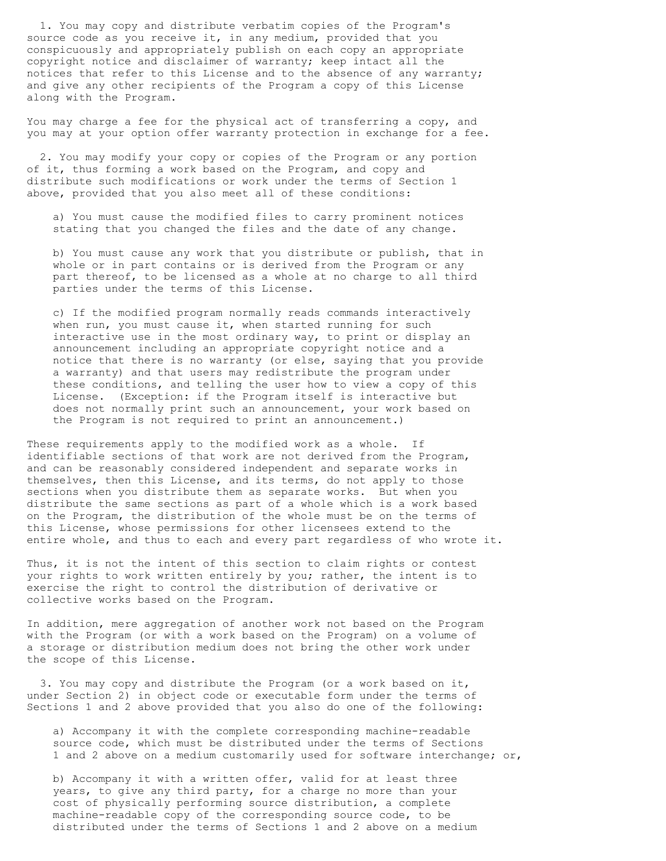1. You may copy and distribute verbatim copies of the Program's source code as you receive it, in any medium, provided that you conspicuously and appropriately publish on each copy an appropriate copyright notice and disclaimer of warranty; keep intact all the notices that refer to this License and to the absence of any warranty; and give any other recipients of the Program a copy of this License along with the Program.

You may charge a fee for the physical act of transferring a copy, and you may at your option offer warranty protection in exchange for a fee.

 2. You may modify your copy or copies of the Program or any portion of it, thus forming a work based on the Program, and copy and distribute such modifications or work under the terms of Section 1 above, provided that you also meet all of these conditions:

 a) You must cause the modified files to carry prominent notices stating that you changed the files and the date of any change.

 b) You must cause any work that you distribute or publish, that in whole or in part contains or is derived from the Program or any part thereof, to be licensed as a whole at no charge to all third parties under the terms of this License.

 c) If the modified program normally reads commands interactively when run, you must cause it, when started running for such interactive use in the most ordinary way, to print or display an announcement including an appropriate copyright notice and a notice that there is no warranty (or else, saying that you provide a warranty) and that users may redistribute the program under these conditions, and telling the user how to view a copy of this License. (Exception: if the Program itself is interactive but does not normally print such an announcement, your work based on the Program is not required to print an announcement.)

These requirements apply to the modified work as a whole. If identifiable sections of that work are not derived from the Program, and can be reasonably considered independent and separate works in themselves, then this License, and its terms, do not apply to those sections when you distribute them as separate works. But when you distribute the same sections as part of a whole which is a work based on the Program, the distribution of the whole must be on the terms of this License, whose permissions for other licensees extend to the entire whole, and thus to each and every part regardless of who wrote it.

Thus, it is not the intent of this section to claim rights or contest your rights to work written entirely by you; rather, the intent is to exercise the right to control the distribution of derivative or collective works based on the Program.

In addition, mere aggregation of another work not based on the Program with the Program (or with a work based on the Program) on a volume of a storage or distribution medium does not bring the other work under the scope of this License.

 3. You may copy and distribute the Program (or a work based on it, under Section 2) in object code or executable form under the terms of Sections 1 and 2 above provided that you also do one of the following:

 a) Accompany it with the complete corresponding machine-readable source code, which must be distributed under the terms of Sections 1 and 2 above on a medium customarily used for software interchange; or,

 b) Accompany it with a written offer, valid for at least three years, to give any third party, for a charge no more than your cost of physically performing source distribution, a complete machine-readable copy of the corresponding source code, to be distributed under the terms of Sections 1 and 2 above on a medium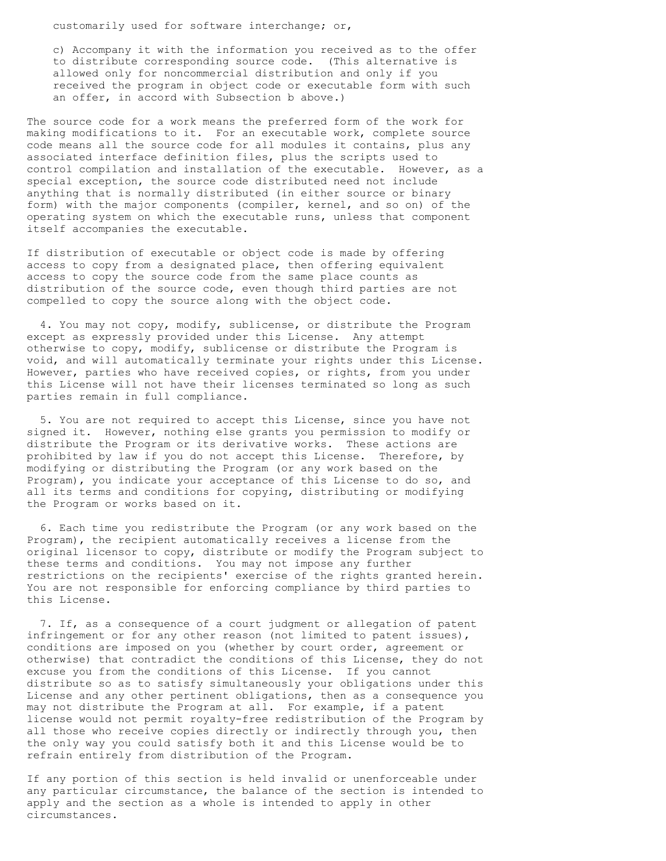customarily used for software interchange; or,

 c) Accompany it with the information you received as to the offer to distribute corresponding source code. (This alternative is allowed only for noncommercial distribution and only if you received the program in object code or executable form with such an offer, in accord with Subsection b above.)

The source code for a work means the preferred form of the work for making modifications to it. For an executable work, complete source code means all the source code for all modules it contains, plus any associated interface definition files, plus the scripts used to control compilation and installation of the executable. However, as a special exception, the source code distributed need not include anything that is normally distributed (in either source or binary form) with the major components (compiler, kernel, and so on) of the operating system on which the executable runs, unless that component itself accompanies the executable.

If distribution of executable or object code is made by offering access to copy from a designated place, then offering equivalent access to copy the source code from the same place counts as distribution of the source code, even though third parties are not compelled to copy the source along with the object code.

 4. You may not copy, modify, sublicense, or distribute the Program except as expressly provided under this License. Any attempt otherwise to copy, modify, sublicense or distribute the Program is void, and will automatically terminate your rights under this License. However, parties who have received copies, or rights, from you under this License will not have their licenses terminated so long as such parties remain in full compliance.

 5. You are not required to accept this License, since you have not signed it. However, nothing else grants you permission to modify or distribute the Program or its derivative works. These actions are prohibited by law if you do not accept this License. Therefore, by modifying or distributing the Program (or any work based on the Program), you indicate your acceptance of this License to do so, and all its terms and conditions for copying, distributing or modifying the Program or works based on it.

 6. Each time you redistribute the Program (or any work based on the Program), the recipient automatically receives a license from the original licensor to copy, distribute or modify the Program subject to these terms and conditions. You may not impose any further restrictions on the recipients' exercise of the rights granted herein. You are not responsible for enforcing compliance by third parties to this License.

 7. If, as a consequence of a court judgment or allegation of patent infringement or for any other reason (not limited to patent issues), conditions are imposed on you (whether by court order, agreement or otherwise) that contradict the conditions of this License, they do not excuse you from the conditions of this License. If you cannot distribute so as to satisfy simultaneously your obligations under this License and any other pertinent obligations, then as a consequence you may not distribute the Program at all. For example, if a patent license would not permit royalty-free redistribution of the Program by all those who receive copies directly or indirectly through you, then the only way you could satisfy both it and this License would be to refrain entirely from distribution of the Program.

If any portion of this section is held invalid or unenforceable under any particular circumstance, the balance of the section is intended to apply and the section as a whole is intended to apply in other circumstances.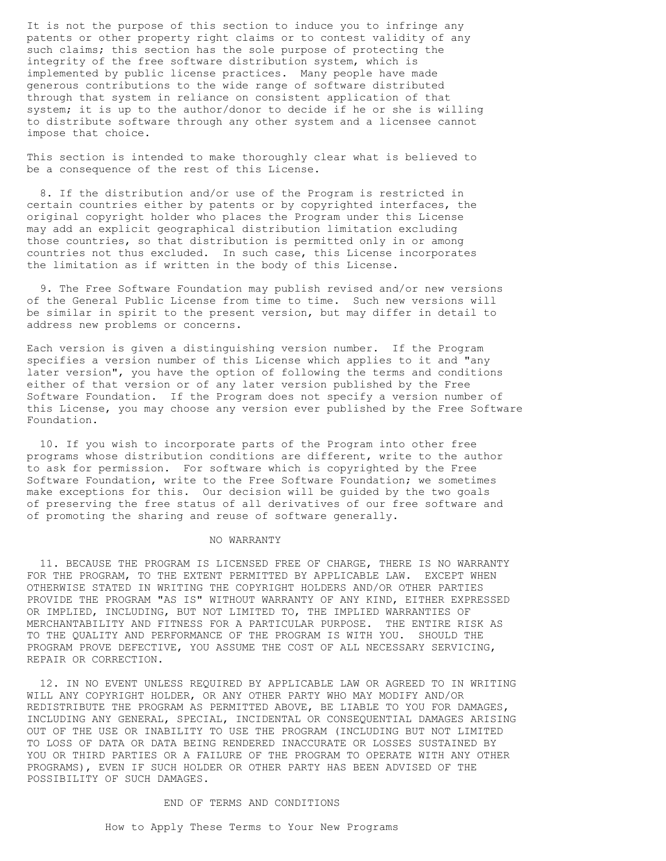It is not the purpose of this section to induce you to infringe any patents or other property right claims or to contest validity of any such claims; this section has the sole purpose of protecting the integrity of the free software distribution system, which is implemented by public license practices. Many people have made generous contributions to the wide range of software distributed through that system in reliance on consistent application of that system; it is up to the author/donor to decide if he or she is willing to distribute software through any other system and a licensee cannot impose that choice.

This section is intended to make thoroughly clear what is believed to be a consequence of the rest of this License.

 8. If the distribution and/or use of the Program is restricted in certain countries either by patents or by copyrighted interfaces, the original copyright holder who places the Program under this License may add an explicit geographical distribution limitation excluding those countries, so that distribution is permitted only in or among countries not thus excluded. In such case, this License incorporates the limitation as if written in the body of this License.

 9. The Free Software Foundation may publish revised and/or new versions of the General Public License from time to time. Such new versions will be similar in spirit to the present version, but may differ in detail to address new problems or concerns.

Each version is given a distinguishing version number. If the Program specifies a version number of this License which applies to it and "any later version", you have the option of following the terms and conditions either of that version or of any later version published by the Free Software Foundation. If the Program does not specify a version number of this License, you may choose any version ever published by the Free Software Foundation.

 10. If you wish to incorporate parts of the Program into other free programs whose distribution conditions are different, write to the author to ask for permission. For software which is copyrighted by the Free Software Foundation, write to the Free Software Foundation; we sometimes make exceptions for this. Our decision will be guided by the two goals of preserving the free status of all derivatives of our free software and of promoting the sharing and reuse of software generally.

## NO WARRANTY

 11. BECAUSE THE PROGRAM IS LICENSED FREE OF CHARGE, THERE IS NO WARRANTY FOR THE PROGRAM, TO THE EXTENT PERMITTED BY APPLICABLE LAW. EXCEPT WHEN OTHERWISE STATED IN WRITING THE COPYRIGHT HOLDERS AND/OR OTHER PARTIES PROVIDE THE PROGRAM "AS IS" WITHOUT WARRANTY OF ANY KIND, EITHER EXPRESSED OR IMPLIED, INCLUDING, BUT NOT LIMITED TO, THE IMPLIED WARRANTIES OF MERCHANTABILITY AND FITNESS FOR A PARTICULAR PURPOSE. THE ENTIRE RISK AS TO THE QUALITY AND PERFORMANCE OF THE PROGRAM IS WITH YOU. SHOULD THE PROGRAM PROVE DEFECTIVE, YOU ASSUME THE COST OF ALL NECESSARY SERVICING, REPAIR OR CORRECTION.

 12. IN NO EVENT UNLESS REQUIRED BY APPLICABLE LAW OR AGREED TO IN WRITING WILL ANY COPYRIGHT HOLDER, OR ANY OTHER PARTY WHO MAY MODIFY AND/OR REDISTRIBUTE THE PROGRAM AS PERMITTED ABOVE, BE LIABLE TO YOU FOR DAMAGES, INCLUDING ANY GENERAL, SPECIAL, INCIDENTAL OR CONSEQUENTIAL DAMAGES ARISING OUT OF THE USE OR INABILITY TO USE THE PROGRAM (INCLUDING BUT NOT LIMITED TO LOSS OF DATA OR DATA BEING RENDERED INACCURATE OR LOSSES SUSTAINED BY YOU OR THIRD PARTIES OR A FAILURE OF THE PROGRAM TO OPERATE WITH ANY OTHER PROGRAMS), EVEN IF SUCH HOLDER OR OTHER PARTY HAS BEEN ADVISED OF THE POSSIBILITY OF SUCH DAMAGES.

## END OF TERMS AND CONDITIONS